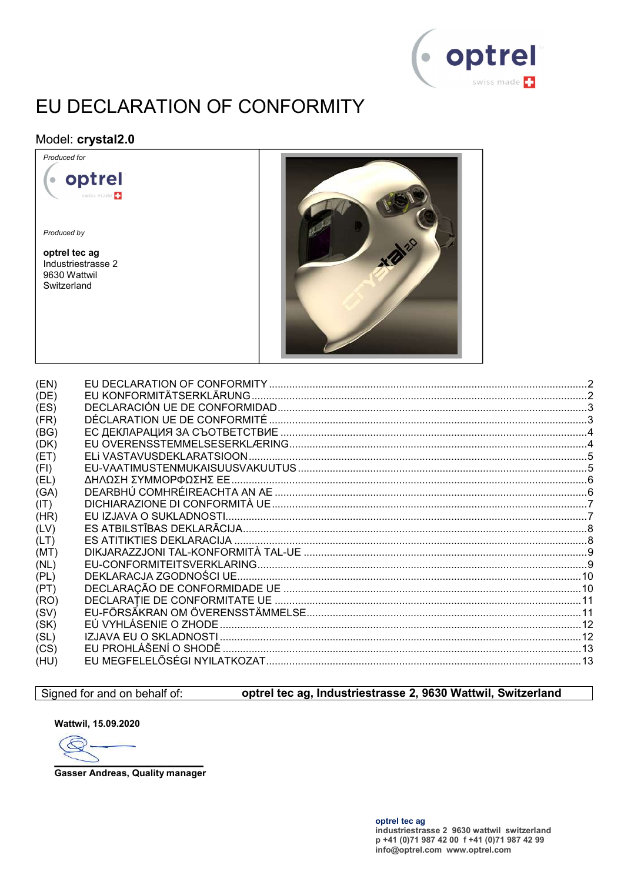

# EU DECLARATION OF CONFORMITY

#### Model: crystal2.0



Produced by

optrel tec ag Industriestrasse 2 9630 Wattwil Switzerland



| (EN) |  |
|------|--|
| (DE) |  |
| (ES) |  |
| (FR) |  |
| (BG) |  |
| (DK) |  |
| (ET) |  |
| (FI) |  |
| (EL) |  |
| (GA) |  |
| (T)  |  |
| (HR) |  |
| (LV) |  |
| (LT) |  |
| (MT) |  |
| (NL) |  |
| (PL) |  |
| (PT) |  |
| (RO) |  |
| (SV) |  |
| (SK) |  |
| (SL) |  |
| (CS) |  |
| (HU) |  |
|      |  |

#### Signed for and on behalf of:

### optrel tec ag, Industriestrasse 2, 9630 Wattwil, Switzerland

Wattwil, 15.09.2020

E

**Gasser Andreas, Quality manager**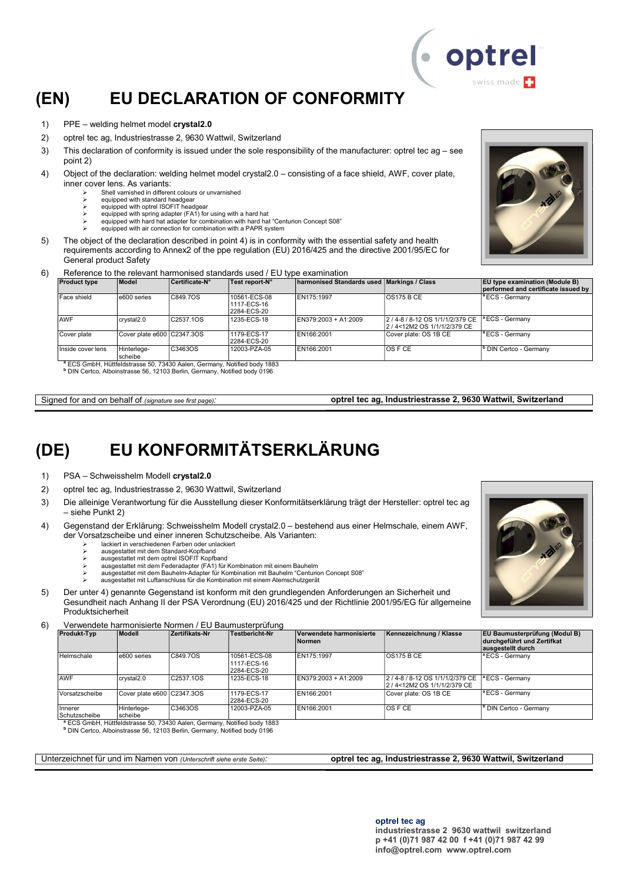## (EN) EU DECLARATION OF CONFORMITY

- 1) PPE welding helmet model crystal2.0
- 2) optrel tec ag, Industriestrasse 2, 9630 Wattwil, Switzerland
- 3) This declaration of conformity is issued under the sole responsibility of the manufacturer: optrel tec ag see point 2)
- 4) Object of the declaration: welding helmet model crystal2.0 consisting of a face shield, AWF, cover plate, inner cover lens. As variants:
	- Shell varnished in different colours or unvarnished
	- equipped with standard headgear equipped with optrel ISOFIT headgear
	- equipped with spring adapter (FA1) for using with a hard hat
	- equipped with hard hat adapter for combination with hard hat "Centurion Concept S08"
	- equipped with air connection for combination with a PAPR system
- 5) The object of the declaration described in point 4) is in conformity with the essential safety and health requirements according to Annex2 of the ppe regulation (EU) 2016/425 and the directive 2001/95/EC for General product Safety
- 6) Reference to the relevant harmonised standards used / EU type examination

| <b>Product type</b> | <b>Model</b>               | Certificate-N° | Test report-N°                             | <b>harmonised Standards used Markings / Class</b> |                                                              | <b>EU type examination (Module B)</b><br>performed and certificate issued by |
|---------------------|----------------------------|----------------|--------------------------------------------|---------------------------------------------------|--------------------------------------------------------------|------------------------------------------------------------------------------|
| Face shield         | e600 series                | C849.7OS       | 10561-ECS-08<br>1117-ECS-16<br>2284-ECS-20 | EN175:1997                                        | IOS175 B CE                                                  | $\vert$ <sup>a</sup> ECS - Germany                                           |
| <b>AWF</b>          | crystal2.0                 | C2537.1OS      | 1235-ECS-18                                | $EN379:2003 + A1:2009$                            | 2/4-8/8-12 OS 1/1/1/2/379 CE<br>2 / 4<12M2 OS 1/1/1/2/379 CE | $\vert$ <sup>a</sup> ECS - Germany                                           |
| Cover plate         | Cover plate e600 C2347.3OS |                | 1179-ECS-17<br>2284-ECS-20                 | EN166:2001                                        | Cover plate: OS 1B CE                                        | $\vert$ <sup>a</sup> ECS - Germany                                           |
| Inside cover lens   | Hinterlege-<br>scheibe     | C3463OS        | 12003-PZA-05                               | EN166:2001                                        | IOS F CE                                                     | <sup>Ib</sup> DIN Certco - Germany                                           |

S GmbH, Hüttfeldstrasse 50, 73430 Aalen, Germany, Notified body 1883 b DIN Certco, Alboinstrasse 56, 12103 Berlin, Germany, Notified body 0196

Signed for and on behalf of (signature see first page): optrel tec ag, Industriestrasse 2, 9630 Wattwil, Switzerland

## (DE) EU KONFORMITÄTSERKLÄRUNG

- 1) PSA Schweisshelm Modell crystal2.0
- 2) optrel tec ag, Industriestrasse 2, 9630 Wattwil, Switzerland
- 3) Die alleinige Verantwortung für die Ausstellung dieser Konformitätserklärung trägt der Hersteller: optrel tec ag – siehe Punkt 2)
- 4) Gegenstand der Erklärung: Schweisshelm Modell crystal2.0 bestehend aus einer Helmschale, einem AWF, der Vorsatzscheibe und einer inneren Schutzscheibe. Als Varianten:
	- lackiert in verschiedenen Farben oder unlackiert
	- ausgestattet mit dem Standard-Kopfband ausgestattet mit dem optrel ISOFIT Kopfband
	- ausgestattet mit dem Federadapter (FA1) für Kombination mit einem Bauhelm
	- ausgestattet mit dem Bauhelm-Adapter für Kombination mit Bauhelm "Centurion Concept S08"
	- ausgestattet mit Luftanschluss für die Kombination mit einem Atemschutzgerät
- 5) Der unter 4) genannte Gegenstand ist konform mit den grundlegenden Anforderungen an Sicherheit und Gesundheit nach Anhang II der PSA Verordnung (EU) 2016/425 und der Richtlinie 2001/95/EG für allgemeine Produktsicherheit
- 6) Verwendete harmonisierte Normen / EU Baumusterprüfung

| <b>Produkt-Typ</b>              | Modell                     | Zertifikats-Nr | Testbericht-Nr                             | Verwendete harmonisierte<br>Normen | Kennezeichnung / Klasse                                                       | <b>EU Baumusterprüfung (Modul B)</b><br>durchgeführt und Zertifkat<br>ausgestellt durch |
|---------------------------------|----------------------------|----------------|--------------------------------------------|------------------------------------|-------------------------------------------------------------------------------|-----------------------------------------------------------------------------------------|
| Helmschale                      | e600 series                | C849.7OS       | 10561-ECS-08<br>1117-ECS-16<br>2284-ECS-20 | EN175:1997                         | OS175BCE                                                                      | <sup>1ª</sup> ECS - Germany                                                             |
| <b>AWF</b>                      | crvstal2.0                 | C2537.1OS      | 1235-ECS-18                                | EN379:2003 + A1:2009               | 2/4-8/8-12 OS 1/1/1/2/379 CE   LECS - Germany<br>2 / 4<12M2 OS 1/1/1/2/379 CE |                                                                                         |
| Vorsatzscheibe                  | Cover plate e600 C2347.3OS |                | 1179-ECS-17<br>2284-ECS-20                 | EN166:2001                         | Cover plate: OS 1B CE                                                         | <sup>1ª</sup> ECS - Germany                                                             |
| <b>Innerer</b><br>Schutzscheibe | Hinterlege-<br>scheibe     | C3463OS        | 12003-PZA-05                               | EN166:2001                         | <b>OS F CE</b>                                                                | <sup>1</sup> DIN Certco - Germany                                                       |

Schutzscheibe scheibe <sup>a</sup> ECS GmbH, Hüttfeldstrasse 50, 73430 Aalen, Germany, Notified body 1883 b DIN Certco, Alboinstrasse 56, 12103 Berlin, Germany, Notified body 0196

Unterzeichnet für und im Namen von (Unterschrift siehe erste Seite): **optrel tec ag, Industriestrasse 2, 9630 Wattwil, Switzerland** 





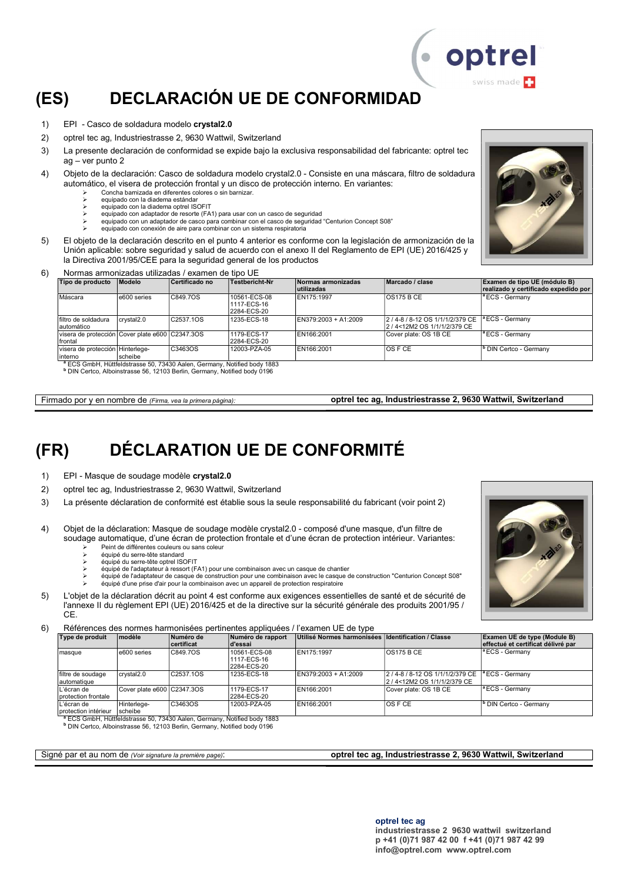## (ES) DECLARACIÓN UE DE CONFORMIDAD

- 1) EPI Casco de soldadura modelo crystal2.0
- 2) optrel tec ag, Industriestrasse 2, 9630 Wattwil, Switzerland
- 3) La presente declaración de conformidad se expide bajo la exclusiva responsabilidad del fabricante: optrel tec ag – ver punto 2
- 4) Objeto de la declaración: Casco de soldadura modelo crystal2.0 Consiste en una máscara, filtro de soldadura automático, el visera de protección frontal y un disco de protección interno. En variantes:
	- Concha barnizada en diferentes colores o sin barnizar.
	- equipado con la diadema estándar equipado con la diadema optrel ISOFIT
	- equipado con adaptador de resorte (FA1) para usar con un casco de seguridad
	- equipado con un adaptador de casco para combinar con el casco de seguridad "Centurion Concept S08"
	- equipado con conexión de aire para combinar con un sistema respiratoria
- 5) El objeto de la declaración descrito en el punto 4 anterior es conforme con la legislación de armonización de la Unión aplicable: sobre seguridad y salud de acuerdo con el anexo II del Reglamento de EPI (UE) 2016/425 y la Directiva 2001/95/CEE para la seguridad general de los productos
- 6) Normas armonizadas utilizadas / examen de tipo UE

| Tipo de producto                                                                                                                                                                                                                                                                                                                                                    | <b>Modelo</b> | Certificado no | Testbericht-Nr                             | Normas armonizadas<br>lutilizadas | Marcado / clase                                              | Examen de tipo UE (módulo B)<br>realizado y certificado expedido por |
|---------------------------------------------------------------------------------------------------------------------------------------------------------------------------------------------------------------------------------------------------------------------------------------------------------------------------------------------------------------------|---------------|----------------|--------------------------------------------|-----------------------------------|--------------------------------------------------------------|----------------------------------------------------------------------|
| Máscara                                                                                                                                                                                                                                                                                                                                                             | e600 series   | C849.7OS       | 10561-ECS-08<br>1117-ECS-16<br>2284-ECS-20 | EN175:1997                        | <b>OS175 B CE</b>                                            | $\vert$ <sup>a</sup> ECS - Germany                                   |
| filtro de soldadura<br>automático                                                                                                                                                                                                                                                                                                                                   | crystal2.0    | C2537.1OS      | 1235-ECS-18                                | EN379:2003 + A1:2009              | 2/4-8/8-12 OS 1/1/1/2/379 CE<br>2 / 4<12M2 OS 1/1/1/2/379 CE | <sup>a</sup> ECS - Germany                                           |
| visera de protección Cover plate e600 C2347.3OS<br>frontal                                                                                                                                                                                                                                                                                                          |               |                | 1179-ECS-17<br>2284-ECS-20                 | EN166:2001                        | ICover plate: OS 1B CE                                       | <sup>a</sup> ECS - Germany                                           |
| visera de protección Hinterlege-<br>interno<br>$3\text{ FOO}$ $\text{O}$ $\text{O}$ $\text{O}$ $\text{O}$ $\text{O}$ $\text{O}$ $\text{O}$ $\text{O}$ $\text{O}$ $\text{O}$ $\text{O}$ $\text{O}$ $\text{O}$ $\text{O}$ $\text{O}$ $\text{O}$ $\text{O}$ $\text{O}$ $\text{O}$ $\text{O}$ $\text{O}$ $\text{O}$ $\text{O}$ $\text{O}$ $\text{O}$ $\text{O}$ $\text$ | scheibe       | C3463OS        | 12003-PZA-05                               | EN166:2001                        | IOS F CE                                                     | <sup>I</sup> <sup>b</sup> DIN Certco - Germany                       |

<sup>a</sup> ECS GmbH, Hüttfeldstrasse 50, 73430 Aalen, Germany, Notified body 1883<br><sup>b</sup> DIN Certco, Alboinstrasse 56, 12103 Berlin, Germany, Notified body 0196

Firmado por y en nombre de (Firma, vea la primera página): optrel tec ag, Industriestrasse 2, 9630 Wattwil, Switzerland

### (FR) DÉCLARATION UE DE CONFORMITÉ

- 1) EPI Masque de soudage modèle crystal2.0
- 2) optrel tec ag, Industriestrasse 2, 9630 Wattwil, Switzerland
- 3) La présente déclaration de conformité est établie sous la seule responsabilité du fabricant (voir point 2)
- 4) Objet de la déclaration: Masque de soudage modèle crystal2.0 composé d'une masque, d'un filtre de soudage automatique, d'une écran de protection frontale et d'une écran de protection intérieur. Variantes: Peint de différentes couleurs ou sans coleur
	- équipé du serre-tête standard
	- équipé du serre-tête optrel ISOFIT
	- équipé de l'adaptateur à ressort (FA1) pour une combinaison avec un casque de chantier
	- équipé de l'adaptateur de casque de construction pour une combinaison avec le casque de construction "Centurion Concept S08"
	- équipé d'une prise d'air pour la combinaison avec un appareil de protection respiratoire
- 5) L'objet de la déclaration décrit au point 4 est conforme aux exigences essentielles de santé et de sécurité de l'annexe II du règlement EPI (UE) 2016/425 et de la directive sur la sécurité générale des produits 2001/95 / CE.

6) Références des normes harmonisées pertinentes appliquées / l'examen UE de type

| Type de produit                     | modèle                     | Numéro de<br>certificat | Numéro de rapport<br>d'essai               | Utilisé Normes harmonisées Identification / Classe |                                                              | Examen UE de type (Module B)<br>effectué et certificat délivré par |
|-------------------------------------|----------------------------|-------------------------|--------------------------------------------|----------------------------------------------------|--------------------------------------------------------------|--------------------------------------------------------------------|
| masque                              | e600 series                | C849.7OS                | 10561-ECS-08<br>1117-ECS-16<br>2284-ECS-20 | EN175:1997                                         | $\overline{OS}$ 175 B CE                                     | <sup>a</sup> ECS - Germany                                         |
| filtre de soudage<br>lautomatique   | crystal <sub>2.0</sub>     | C2537.1OS               | 1235-ECS-18                                | EN379:2003 + A1:2009                               | 2/4-8/8-12 OS 1/1/1/2/379 CE<br>2 / 4<12M2 OS 1/1/1/2/379 CE | $\vert$ <sup>a</sup> ECS - Germany                                 |
| L'écran de<br>I protection frontale | Cover plate e600 C2347.3OS |                         | 1179-ECS-17<br>2284-ECS-20                 | EN166:2001                                         | Cover plate: OS 1B CE                                        | <sup>a</sup> ECS - Germany                                         |
| L'écran de<br>protection intérieur  | Hinterlege-<br>scheibe     | C3463OS                 | 12003-PZA-05                               | EN166:2001                                         | IOS F CE                                                     | <sup>b</sup> DIN Certco - Germany                                  |

protection intérieur [scheibe<br>『ECS GmbH, Hüttfeldstrasse 50, 73430 Aalen, Germany, Notified body 1883<br>『DIN Certco, Alboinstrasse 56, 12103 Berlin, Germany, Notified body 0196

#### Signé par et au nom de (Voir signature la première page): **optrel tec ag, Industriestrasse 2, 9630 Wattwil, Switzerland**



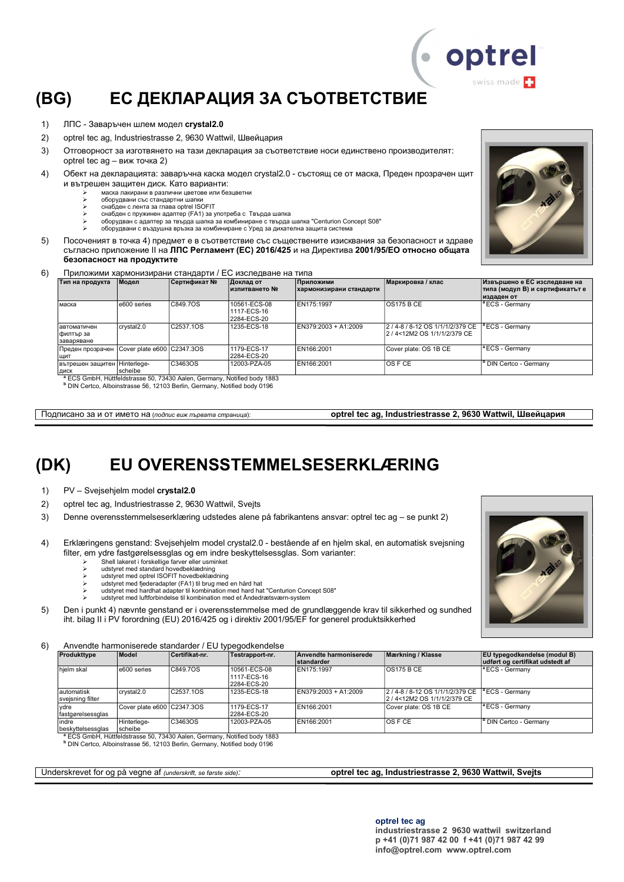# (BG) ЕС ДЕКЛАРАЦИЯ ЗА СЪОТВЕТСТВИЕ

- 1) ЛПС Заваръчен шлем модел crystal2.0
- 2) optrel tec ag, Industriestrasse 2, 9630 Wattwil, Швейцария
- 3) Отговорност за изготвянето на тази декларация за съответствие носи единствено производителят: optrel tec ag – виж точка 2)
- 4) Обект на декларацията: заваръчна каска модел crystal2.0 състоящ се от маска, Преден прозрачен щит и вътрешен защитен диск. Като варианти:
	- маска лакирани в различни цветове или безцветни
	- оборудвани със стандартни шапки снабден с лента за глава optrel ISOFIT
	- снабден с пружинен адаптер (FA1) за употреба с Твърда шапка
	- оборудван с адаптер за твърда шапка за комбиниране с твърда шапка "Centurion Concept S08"
	- оборудвани с въздушна връзка за комбиниране с Уред за дихателна защита систем
- 5) Посоченият в точка 4) предмет е в съответствие със съществените изисквания за безопасност и здраве съгласно приложение ІІ на ЛПС Регламент (ЕС) 2016/425 и на Директива 2001/95/ЕО относно общата безопасност на продуктите

6) Приложими хармонизирани стандарти / ЕС изследване на типа

| Тип на продукта                         | Модел                      | Сертификат №                                                                                                                                                                                                                                                                                                                     | Доклад от<br>∣изпитването №                | Приложими<br>хармонизирани стандарти | Маркировка / клас                                                 | Извършено е ЕС изследване на<br> типа (модул В) и сертификатът е |
|-----------------------------------------|----------------------------|----------------------------------------------------------------------------------------------------------------------------------------------------------------------------------------------------------------------------------------------------------------------------------------------------------------------------------|--------------------------------------------|--------------------------------------|-------------------------------------------------------------------|------------------------------------------------------------------|
|                                         |                            |                                                                                                                                                                                                                                                                                                                                  |                                            |                                      |                                                                   | издаден от                                                       |
| маска                                   | e600 series                | C849.7OS                                                                                                                                                                                                                                                                                                                         | 10561-ECS-08<br>1117-ECS-16<br>2284-ECS-20 | EN175:1997                           | IOS175 B CE                                                       | <sup>a</sup> ECS - Germany                                       |
| автоматичен<br> филтър за<br>заваряване | crystal2.0                 | C2537.1OS                                                                                                                                                                                                                                                                                                                        | 1235-ECS-18                                | EN379:2003 + A1:2009                 | 2 / 4-8 / 8-12 OS 1/1/1/2/379 CE<br>l2 / 4<12M2 OS 1/1/1/2/379 CE | <sup>a</sup> ECS - Germany                                       |
| Преден прозрачен<br>ЩИТ                 | Cover plate e600 C2347.3OS |                                                                                                                                                                                                                                                                                                                                  | 1179-ECS-17<br>2284-ECS-20                 | EN166:2001                           | Cover plate: OS 1B CE                                             | <sup>a</sup> ECS - Germany                                       |
| вътрешен защитен Hinterlege-<br>ДИСК    | scheibe                    | C3463OS<br>$3 \text{ FOO}$ $\text{O}$ $\text{O}$ $\text{O}$ $\text{O}$ $\text{O}$ $\text{O}$ $\text{O}$ $\text{O}$ $\text{O}$ $\text{O}$ $\text{O}$ $\text{O}$ $\text{O}$ $\text{O}$ $\text{O}$ $\text{O}$ $\text{O}$ $\text{O}$ $\text{O}$ $\text{O}$ $\text{O}$ $\text{O}$ $\text{O}$ $\text{O}$ $\text{O}$ $\text{O}$ $\text$ | 12003-PZA-05                               | EN166:2001                           | IOS F CE                                                          | <sup>b</sup> DIN Certco - Germany                                |

<sup>a</sup> ECS GmbH, Hüttfeldstrasse 50, 73430 Aalen, Germany, Notified body 1883<br><sup>b</sup> DIN Certco, Alboinstrasse 56, 12103 Berlin, Germany, Notified body 0196

Подписано за и от името на (подпис виж първата страница): **optrel tec ag, Industriestrasse 2, 9630 Wattwil, Швейцария** 

## (DK) EU OVERENSSTEMMELSESERKLÆRING

- 1) PV Svejsehjelm model crystal2.0
- 2) optrel tec ag, Industriestrasse 2, 9630 Wattwil, Svejts
- 3) Denne overensstemmelseserklæring udstedes alene på fabrikantens ansvar: optrel tec ag se punkt 2)
- 4) Erklæringens genstand: Svejsehjelm model crystal2.0 bestående af en hjelm skal, en automatisk svejsning filter, em ydre fastgørelsessglas og em indre beskyttelsessglas. Som varianter:
	- $\triangleright$  Shell lakeret i forskellige farver eller usminket
		- udstyret med standard hovedbeklædning
		-
	- > udstyret med optrel ISOFIT hovedbeklædning<br>> udstyret med fjederadapter (FA1) til brug med en hård hat<br>> udstyret med hardhat adapter til kombination med hard hat "Centurion Concept S08"
	- udstyret med luftforbindelse til kombination med et Åndedrætsværn-system
- 5) Den i punkt 4) nævnte genstand er i overensstemmelse med de grundlæggende krav til sikkerhed og sundhed iht. bilag II i PV forordning (EU) 2016/425 og i direktiv 2001/95/EF for generel produktsikkerhed

6) Anvendte harmoniserede standarder / EU typegodkendelse

| Produkttype                    | Model                      | Certifikat nr.         | Testrapport-nr.                            | Anvendte harmoniserede<br><b>standarder</b> | Mærkning / Klasse                                                    | <b>EU</b> typegodkendelse (modul B)<br>udført og certifikat udstedt af |
|--------------------------------|----------------------------|------------------------|--------------------------------------------|---------------------------------------------|----------------------------------------------------------------------|------------------------------------------------------------------------|
| hielm skal                     | e600 series                | C849.7OS               | 10561-ECS-08<br>1117-ECS-16<br>2284-ECS-20 | EN175:1997                                  | <b>OS175 B CE</b>                                                    | <sup>a</sup> ECS - Germany                                             |
| automatisk<br>svejsning filter | crystal2.0                 | C <sub>2537</sub> .10S | 1235-ECS-18                                | EN379:2003 + A1:2009                        | 2 / 4-8 / 8-12 OS 1/1/1/2/379 CE<br>2 / 4 < 12 M 2 OS 1/1/1/2/379 CE | lª ECS - Germanv                                                       |
| vdre<br>fastgørelsessglas      | Cover plate e600 C2347.3OS |                        | 1179-ECS-17<br>2284-ECS-20                 | EN166:2001                                  | Cover plate: OS 1B CE                                                | $ {}^a$ ECS - Germany                                                  |
| indre<br>beskyttelsessglas     | Hinterlege-<br>scheibe     | C3463OS                | 12003-PZA-05                               | EN166:2001                                  | IOS F CE                                                             | <sup>I</sup> <sup>b</sup> DIN Certco - Germanv                         |

<sup>a</sup> ECS GmbH, Hüttfeldstrasse 50, 73430 Aalen, Germany, Notified body 1883<br><sup>b</sup> DIN Certco, Alboinstrasse 56, 12103 Berlin, Germany, Notified body 0196

#### Underskrevet for og på vegne af (underskrift, se første side): **optrel tec ag, Industriestrasse 2, 9630 Wattwil, Svejts**

#### optrel tec ag

industriestrasse 2 9630 wattwil switzerland p +41 (0)71 987 42 00 f +41 (0)71 987 42 99 info@optrel.com www.optrel.com



· optrel swiss made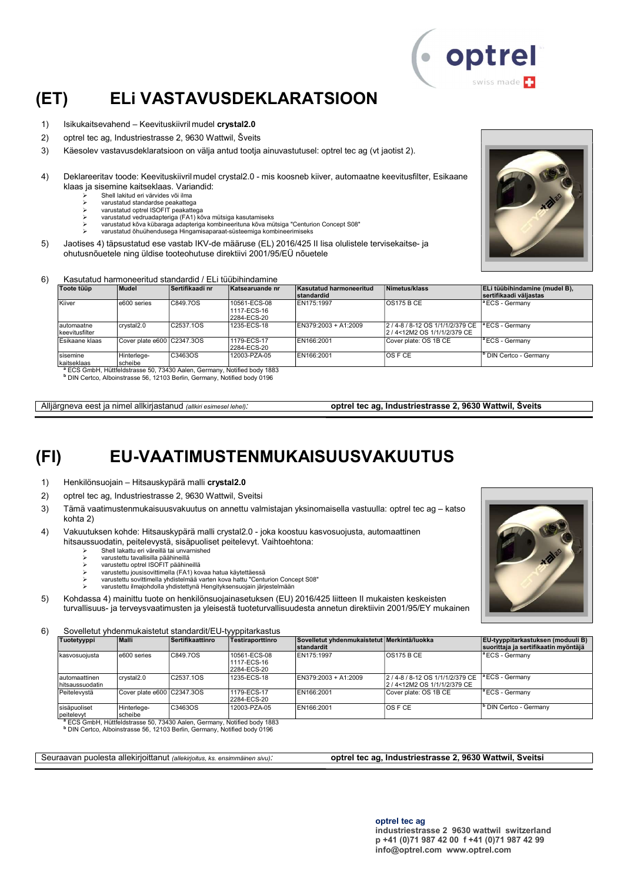

## (ET) ELi VASTAVUSDEKLARATSIOON

- 1) Isikukaitsevahend Keevituskiivril mudel crystal2.0
- 2) optrel tec ag, Industriestrasse 2, 9630 Wattwil, Šveits
- 3) Käesolev vastavusdeklaratsioon on välja antud tootja ainuvastutusel: optrel tec ag (vt jaotist 2).
- 4) Deklareeritav toode: Keevituskiivril mudel crystal2.0 mis koosneb kiiver, automaatne keevitusfilter, Esikaane klaas ja sisemine kaitseklaas. Variandid:
	- Shell lakitud eri värvides või ilma
	- varustatud standardse peakattega varustatud optrel ISOFIT peakattega
	- varustatud vedruadapteriga (FA1) kõva mütsiga kasutamiseks
	- varustatud kõva kübaraga adapteriga kombineerituna kõva mütsiga "Centurion Concept S08"
	- varustatud õhuühendusega Hingamisaparaat-süsteemiga kombineerimiseks
- 5) Jaotises 4) täpsustatud ese vastab IKV-de määruse (EL) 2016/425 II lisa olulistele tervisekaitse- ja ohutusnõuetele ning üldise tooteohutuse direktiivi 2001/95/EÜ nõuetele

#### 6) Kasutatud harmoneeritud standardid / ELi tüübihindamine

| Toote tüüp                   | Mudel                      | Sertifikaadi nr                                                                     | Katsearuande nr                            | Kasutatud harmoneeritud<br>standardid | Nimetus/klass                                                 | ELi tüübihindamine (mudel B),<br>sertifikaadi väliastas |
|------------------------------|----------------------------|-------------------------------------------------------------------------------------|--------------------------------------------|---------------------------------------|---------------------------------------------------------------|---------------------------------------------------------|
| Kiiver                       | e600 series                | C849.7OS                                                                            | 10561-ECS-08<br>1117-ECS-16<br>2284-ECS-20 | EN175:1997                            | OS175BCE                                                      | <sup>1ª</sup> ECS - Germany                             |
| automaatne<br>keevitusfilter | crystal2.0                 | C2537.1OS                                                                           | 1235-ECS-18                                | EN379:2003 + A1:2009                  | 2/4-8/8-12 OS 1/1/1/2/379 CE<br>l2 / 4<12M2 OS 1/1/1/2/379 CE | l <sup>a</sup> ECS - Germanv                            |
| Esikaane klaas               | Cover plate e600 C2347.3OS |                                                                                     | 1179-ECS-17<br>2284-ECS-20                 | EN166:2001                            | Cover plate: OS 1B CE                                         | $ $ <sup>a</sup> ECS - Germany                          |
| Isisemine<br>İkaitseklaas    | Hinterlege-<br>scheibe     | C3463OS                                                                             | 12003-PZA-05                               | EN166:2001                            | <b>OS F CE</b>                                                | <sup>I</sup> DIN Certco - Germany                       |
|                              |                            | <sup>a</sup> ECS GmbH, Hüttfeldstrasse 50, 73430 Aalen, Germany, Notified body 1883 |                                            |                                       |                                                               |                                                         |

b DIN Certco, Alboinstrasse 56, 12103 Berlin, Germany, Notified body 0196

Alljärgneva eest ja nimel allkirjastanud (allkiri esimesel lehel): optrel tec ag, Industriestrasse 2, 9630 Wattwil, Šveits

## (FI) EU-VAATIMUSTENMUKAISUUSVAKUUTUS

1) Henkilönsuojain – Hitsauskypärä malli crystal2.0

- 2) optrel tec ag, Industriestrasse 2, 9630 Wattwil, Sveitsi
- 3) Tämä vaatimustenmukaisuusvakuutus on annettu valmistajan yksinomaisella vastuulla: optrel tec ag katso kohta 2)
- 4) Vakuutuksen kohde: Hitsauskypärä malli crystal2.0 joka koostuu kasvosuojusta, automaattinen hitsaussuodatin, peitelevystä, sisäpuoliset peitelevyt. Vaihtoehtona:
	- Shell lakattu eri väreillä tai unvarnished
	- varustettu tavallisilla päähineillä
	- varustettu optrel ISOFIT päähineillä $\triangleright$  varustettu optrel ISOFIT päähineillä varustettu jousisovittimella (FA1) kovaa hatua käytettäessä
	- varustettu sovittimella yhdistelmää varten kova hattu "Centurion Concept S08"
	- varustettu ilmajohdolla yhdistettynä Hengityksensuojain järjestelmään
- 5) Kohdassa 4) mainittu tuote on henkilönsuojainasetuksen (EU) 2016/425 liitteen II mukaisten keskeisten turvallisuus- ja terveysvaatimusten ja yleisestä tuoteturvallisuudesta annetun direktiivin 2001/95/EY mukainen

6) Sovelletut yhdenmukaistetut standardit/EU-tyyppitarkastus

| Tuotetyyppi                        | Malli                      | Sertifikaattinro       | ,,,<br>Testiraporttinro                    | Sovelletut vhdenmukaistetut Merkintä/luokka<br><b>standardit</b> |                                                                | EU-tyyppitarkastuksen (moduuli B)<br>suorittaja ja sertifikaatin myöntäjä |
|------------------------------------|----------------------------|------------------------|--------------------------------------------|------------------------------------------------------------------|----------------------------------------------------------------|---------------------------------------------------------------------------|
| kasvosuoiusta                      | e600 series                | C849.7OS               | 10561-ECS-08<br>1117-ECS-16<br>2284-ECS-20 | EN175:1997                                                       | OS175BCE                                                       | $\vert$ <sup>a</sup> ECS - Germany                                        |
| lautomaattinen<br>Ihitsaussuodatin | crystal2.0                 | C <sub>2537</sub> .10S | 1235-ECS-18                                | $EN379:2003 + A1:2009$                                           | 2 / 4-8 / 8-12 OS 1/1/1/2/379 CE<br>2/4<12M2 OS 1/1/1/2/379 CE | <sup>a</sup> ECS - Germany                                                |
| Peitelevystä                       | Cover plate e600 C2347.3OS |                        | 1179-ECS-17<br>2284-ECS-20                 | EN166:2001                                                       | Cover plate: OS 1B CE                                          | $\vert$ <sup>a</sup> ECS - Germany                                        |
| sisäpuoliset<br>peitelevyt         | Hinterlege-<br>scheibe     | C3463OS                | 12003-PZA-05                               | EN166:2001                                                       | <b>OSFCE</b>                                                   | <sup>b</sup> DIN Certco - Germany                                         |

peitelevyt<br><sup>\*</sup> ECS GmbH, Hüttfeldstrasse 50, 73430 Aalen, Germany, Notified body 1883<br>NDIN Certco, Alboinstrasse 56, 12103 Berlin, Germany, Notified body 0196

Seuraavan puolesta allekirjoittanut (allekirjoitus, ks. ensimmäinen sivu): optrel tec ag, Industriestrasse 2, 9630 Wattwil, Sveitsi

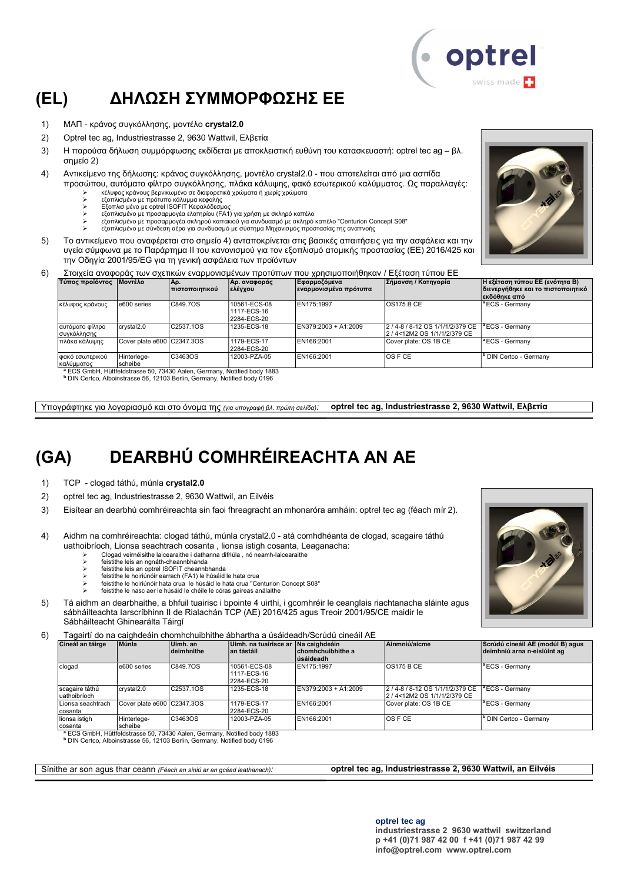## (EL) ΔΗΛΩΣΗ ΣΥΜΜΟΡΦΩΣΗΣ ΕΕ

- 1) ΜΑΠ κράνος συγκόλλησης, μοντέλο crystal2.0
- 2) Optrel tec ag, Industriestrasse 2, 9630 Wattwil, Ελβετία
- 3) Η παρούσα δήλωση συμμόρφωσης εκδίδεται με αποκλειστική ευθύνη του κατασκευαστή: optrel tec ag βλ. σημείο 2)
- 4) Αντικείμενο της δήλωσης: κράνος συγκόλλησης, μοντέλο crystal2.0 που αποτελείται από μια ασπίδα προσώπου, αυτόματο φίλτρο συγκόλλησης, πλάκα κάλυψης, φακό εσωτερικού καλύμματος. Ως παραλλαγές:
	-
	- ≻ κέλυφος κράνους βερνικωμένο σε διαφορετικά χρώματα ή χωρίς χρώματα<br>≻ εξοπλισμένο με πρότυπο κάλυμμα κεφαλής<br>γ Εξοπλισ μένο με optrel ISOFIT Κεφαλόδεσμος
	- εξοπλισμένο με προσαρμογέα ελατηρίου (FA1) για χρήση με σκληρό καπέλο
	- εξοπλισμένο με προσαρμογέα σκληρού καπακιού για συνδυασμό με σκληρό καπέλο "Centurion Concept S08"
	- εξοπλισμένο με σύνδεση αέρα για συνδυασμό με σύστημα Μηχανισμός προστασίας της αναπνοής
- 5) Το αντικείμενο που αναφέρεται στο σημείο 4) ανταποκρίνεται στις βασικές απαιτήσεις για την ασφάλεια και την υγεία σύμφωνα με το Παράρτημα II του κανονισμού για τον εξοπλισμό ατομικής προστασίας (ΕΕ) 2016/425 και την Οδηγία 2001/95/EG για τη γενική ασφάλεια των προϊόντων
- 6) Στοιχεία αναφοράς των σχετικών εναρμονισμένων προτύπων που χρησιμοποιήθηκαν / Εξέταση τύπου ΕΕ

| Τύπος προϊόντος                    | <b>Μοντέλο</b>                  | Aρ.<br><u>Ι πιστοποιητικού</u> | Αρ. αναφοράς<br> ελέγχου                   | Εφαρμοζόμενα<br> εναρμονισμένα πρότυπα | Σήμανση / Κατηγορία                                               | Η εξέταση τύπου ΕΕ (ενότητα Β)<br>διενεργήθηκε και το πιστοποιητικό<br>∣εκδόθηκε από |
|------------------------------------|---------------------------------|--------------------------------|--------------------------------------------|----------------------------------------|-------------------------------------------------------------------|--------------------------------------------------------------------------------------|
| κέλυφος κράνους                    | e600 series                     | C849.7OS                       | 10561-ECS-08<br>1117-ECS-16<br>2284-ECS-20 | EN175:1997                             | IOS175 B CE                                                       | <sup>a</sup> ECS - Germanv                                                           |
| αυτόματο φίλτρο<br> συγκόλλησης    | crystal2.0                      | C2537.1OS                      | 1235-ECS-18                                | EN379:2003 + A1:2009                   | 2 / 4-8 / 8-12 OS 1/1/1/2/379 CE<br>l2 / 4<12M2 OS 1/1/1/2/379 CE | $\vert$ <sup>a</sup> ECS - Germany                                                   |
| πλάκα κάλυψης                      | Cover plate e600 C2347.3OS      |                                | 1179-ECS-17<br>2284-ECS-20                 | EN166:2001                             | Cover plate: OS 1B CE                                             | <sup>a</sup> ECS - Germany                                                           |
| φακό εσωτερικού<br>καλύμματος<br>. | Hinterlege-<br>scheibe<br>-- -- | C3463OS<br>$\sim$              | 12003-PZA-05                               | EN166:2001                             | IOS F CE                                                          | <sup>b</sup> DIN Certco - Germanv                                                    |

<sup>a</sup> ECS GmbH, Hüttfeldstrasse 50, 73430 Aalen, Germany, Notified body 1883<br><sup>b</sup> DIN Certco, Alboinstrasse 56, 12103 Berlin, Germany, Notified body 0196

Υπογράφτηκε για λογαριασμό και στο όνομα της (για υπογραφή βλ. πρώτη σελίδα): optrel tec ag, Industriestrasse 2, 9630 Wattwil, Ελβετία

## (GA) DEARBHÚ COMHRÉIREACHTA AN AE

1) TCP - clogad táthú, múnla crystal2.0

- 2) optrel tec ag, Industriestrasse 2, 9630 Wattwil, an Eilvéis
- 3) Eisítear an dearbhú comhréireachta sin faoi fhreagracht an mhonaróra amháin: optrel tec ag (féach mír 2).
- 4) Aidhm na comhréireachta: clogad táthú, múnla crystal2.0 atá comhdhéanta de clogad, scagaire táthú uathoibríoch, Lionsa seachtrach cosanta , lionsa istigh cosanta, Leaganacha:
	- Clogad veirnéisithe laicearaithe i dathanna difriúla , nó neamh-laicearaithe feistithe leis an ngnáth-cheannbhanda
	-
	- **EXECUTE:** feistithe leis an optrel ISOFIT cheannbhanda
	- feistithe le hoiriúnóir earrach (FA1) le húsáid le hata crua feistithe le hoiriúnóir hata crua le húsáid le hata crua "Centurion Concept S08"
	- feistithe le nasc aer le húsáid le chéile le córas gaireas análaithe
- 5) Tá aidhm an dearbhaithe, a bhfuil tuairisc i bpointe 4 uirthi, i gcomhréir le ceanglais riachtanacha sláinte agus sábháilteachta Iarscríbhinn II de Rialachán TCP (AE) 2016/425 agus Treoir 2001/95/CE maidir le Sábháilteacht Ghinearálta Táirgí

6) Tagairtí do na caighdeáin chomhchuibhithe ábhartha a úsáideadh/Scrúdú cineáil AE

|                                 | l auailtí uo ha caiúndeain chomhchuibhithe abhaitha a usaideauh/Scruud chleall AL |                        |                                                   |                                 |                                                                  |                                                                 |  |  |  |
|---------------------------------|-----------------------------------------------------------------------------------|------------------------|---------------------------------------------------|---------------------------------|------------------------------------------------------------------|-----------------------------------------------------------------|--|--|--|
| Cineál an táirge                | Múnla                                                                             | Uimh. an<br>deimhnithe | Uimh, na tuairisce ar Na caighdeáin<br>an tástáil | ∣chomhchuibhithe a<br>úsáideadh | Ainmniú/aicme                                                    | Scrúdú cineáil AE (modúl B) agus<br>deimhniú arna n-eisiúint ag |  |  |  |
| clogad                          | e600 series                                                                       | C849.7OS               | 10561-ECS-08<br>1117-ECS-16<br>2284-ECS-20        | EN175:1997                      | IOS175 B CE                                                      | <sup>a</sup> ECS - Germany                                      |  |  |  |
| scagaire táthú<br>Iuathoibríoch | crystal2.0                                                                        | C2537.1OS              | 1235-ECS-18                                       | EN379:2003 + A1:2009            | 2 / 4-8 / 8-12 OS 1/1/1/2/379 CE<br>2 / 4<12M2 OS 1/1/1/2/379 CE | lª ECS - Germanv                                                |  |  |  |
| ILionsa seachtrach<br>Icosanta  | Cover plate e600 C2347.3OS                                                        |                        | 1179-ECS-17<br>2284-ECS-20                        | EN166:2001                      | Cover plate: OS 1B CE                                            | <sup>a</sup> ECS - Germany                                      |  |  |  |
| lionsa istigh<br>Icosanta       | Hinterlege-<br>scheibe                                                            | C3463OS                | 12003-PZA-05                                      | EN166:2001                      | IOS F CE                                                         | <sup>b</sup> DIN Certco - Germany                               |  |  |  |

cosanta<br>● ECS GmbH, Hüttfeldstrasse 50, 73430 Aalen, Germany, Notified body 1883<br>● DIN Certco, Alboinstrasse 56, 12103 Berlin, Germany, Notified body 0196

Sínithe ar son agus thar ceann (Féach an síniú ar an gcéad leathanach): **optrel tec ag, Industriestrasse 2, 9630 Wattwil, an Eilvéis** 



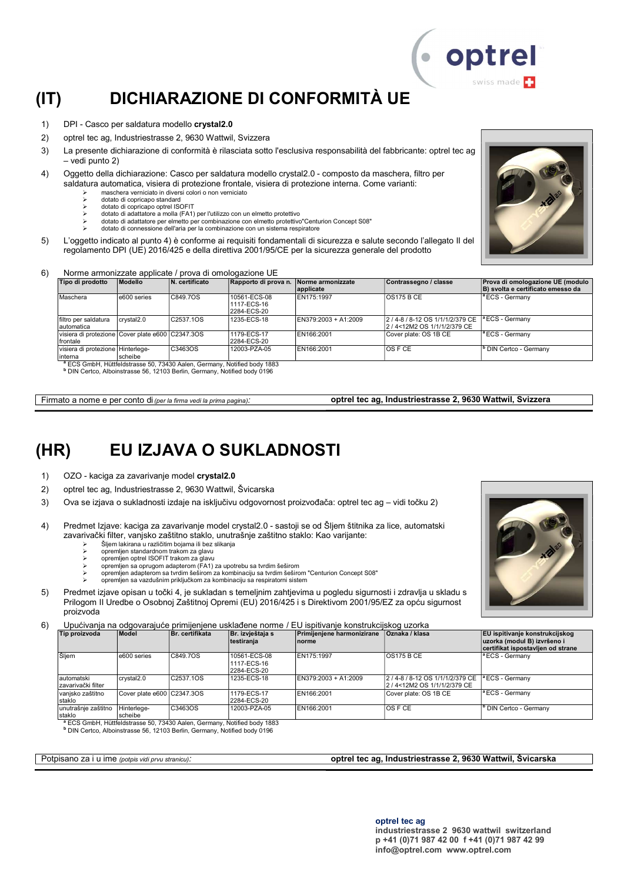## (IT) DICHIARAZIONE DI CONFORMITÀ UE

- 1) DPI Casco per saldatura modello crystal2.0
- 2) optrel tec ag, Industriestrasse 2, 9630 Wattwil, Svizzera
- 3) La presente dichiarazione di conformità è rilasciata sotto l'esclusiva responsabilità del fabbricante: optrel tec ag – vedi punto 2)
- 4) Oggetto della dichiarazione: Casco per saldatura modello crystal2.0 composto da maschera, filtro per saldatura automatica, visiera di protezione frontale, visiera di protezione interna. Come varianti:
	- maschera verniciato in diversi colori o non verniciato
	- dotato di copricapo standard → dotato di copricapo optrel ISOFIT<br>
	→ dotato di adattatore a molla (EA1)
	- dotato di adattatore a molla (FA1) per l'utilizzo con un elmetto protettivo
	- dotato di adattatore per elmetto per combinazione con elmetto protettivo"Centurion Concept S08"
	- dotato di connessione dell'aria per la combinazione con un sistema respiratore
- 5) L'oggetto indicato al punto 4) è conforme ai requisiti fondamentali di sicurezza e salute secondo l'allegato II del regolamento DPI (UE) 2016/425 e della direttiva 2001/95/CE per la sicurezza generale del prodotto

#### 6) Norme armonizzate applicate / prova di omologazione UE

| Tipo di prodotto                                              | <b>Modello</b> | N. certificato | Rapporto di prova n. Norme armonizzate     | lapplicate           | Contrassegno / classe                                        | Prova di omologazione UE (modulo<br>B) svolta e certificato emesso da |
|---------------------------------------------------------------|----------------|----------------|--------------------------------------------|----------------------|--------------------------------------------------------------|-----------------------------------------------------------------------|
| Maschera                                                      | e600 series    | C849.7OS       | 10561-ECS-08<br>1117-ECS-16<br>2284-ECS-20 | EN175:1997           | IOS175 B CE                                                  | <sup>a</sup> ECS - Germanv                                            |
| Ifiltro per saldatura<br>lautomatica                          | crvstal2.0     | C2537.1OS      | 1235-ECS-18                                | EN379:2003 + A1:2009 | 2/4-8/8-12 OS 1/1/1/2/379 CE<br>2 / 4<12M2 OS 1/1/1/2/379 CE | $\vert$ <sup>a</sup> ECS - Germany                                    |
| visiera di protezione Cover plate e600 C2347.3OS<br>Ifrontale |                |                | 1179-ECS-17<br>2284-ECS-20                 | EN166:2001           | Cover plate: OS 1B CE                                        | <sup>a</sup> ECS - Germany                                            |
| visiera di protezione Hinterlege-<br>linterna                 | scheibe        | C3463OS        | 12003-PZA-05                               | EN166:2001           | IOS F CE                                                     | <sup>b</sup> DIN Certco - Germanv                                     |

<sup>a</sup> ECS GmbH, Hüttfeldstrasse 50, 73430 Aalen, Germany, Notified body 1883<br><sup>b</sup> DIN Certco, Alboinstrasse 56, 12103 Berlin, Germany, Notified body 0196

Firmato a nome e per conto di (per la firma vedi la prima pagina): **optrel tec ag, Industriestrasse 2, 9630 Wattwil, Svizzera** 

### (HR) EU IZJAVA O SUKLADNOSTI

1) OZO - kaciga za zavarivanje model crystal2.0

- 2) optrel tec ag, Industriestrasse 2, 9630 Wattwil, Švicarska
- 3) Ova se izjava o sukladnosti izdaje na isključivu odgovornost proizvođača: optrel tec ag vidi točku 2)
- 4) Predmet Izjave: kaciga za zavarivanje model crystal2.0 sastoji se od Šljem štitnika za lice, automatski zavarivački filter, vanjsko zaštitno staklo, unutrašnje zaštitno staklo: Kao varijante:
	- Šljem lakirana u različitim bojama ili bez slikanja
	- opremljen standardnom trakom za glavu
	- opremljen optrel ISOFIT trakom za glavu opremljen sa oprugom adapterom (FA1) za upotrebu sa tvrdim šeširom
	- opremljen adapterom sa tvrdim šeširom za kombinaciju sa tvrdim šeširom "Centurion Concept S08"
	- opremljen sa vazdušnim priključkom za kombinaciju sa respiratorni sistem
- 5) Predmet izjave opisan u točki 4, je sukladan s temeljnim zahtjevima u pogledu sigurnosti i zdravlja u skladu s Prilogom II Uredbe o Osobnoj Zaštitnoj Opremi (EU) 2016/425 i s Direktivom 2001/95/EZ za opću sigurnost proizvoda

6) Upućivanja na odgovarajuće primijenjene usklađene norme / EU ispitivanje konstrukcijskog uzorka

| Tip proizvoda                      | Model                      | Br. certifikata | Br. izvještaja s<br>testiranja             | Primijenjene harmonizirane<br>Inorme | <b>Oznaka / klasa</b>                                                                   | <b>EU</b> ispitivanje konstrukcijskog<br>uzorka (modul B) izvršeno i<br>certifikat ispostavljen od strane |
|------------------------------------|----------------------------|-----------------|--------------------------------------------|--------------------------------------|-----------------------------------------------------------------------------------------|-----------------------------------------------------------------------------------------------------------|
| Šljem                              | e600 series                | C849.7OS        | 10561-ECS-08<br>1117-ECS-16<br>2284-ECS-20 | EN175:1997                           | $\overline{OS175B}$ CE                                                                  | <sup>1ª</sup> ECS - Germany                                                                               |
| lautomatski<br>İzavarivački filter | crystal <sub>2.0</sub>     | C2537.1OS       | 1235-ECS-18                                | EN379:2003 + A1:2009                 | 2/4-8/8-12 OS 1/1/1/2/379 CE <sup>a</sup> ECS - Germany<br>2 / 4<12M2 OS 1/1/1/2/379 CE |                                                                                                           |
| vanjsko zaštitno<br>staklo         | Cover plate e600 C2347.3OS |                 | 1179-ECS-17<br>2284-ECS-20                 | EN166:2001                           | Cover plate: OS 1B CE                                                                   | <sup>1ª</sup> ECS - Germany                                                                               |
| unutrašnje zaštitno<br>staklo      | Hinterlege-<br>scheibe     | C3463OS         | 12003-PZA-05                               | EN166:2001                           | <b>OS F CE</b>                                                                          | <sup>1</sup> DIN Certco - Germany                                                                         |

staklo scheibe <sup>a</sup> ECS GmbH, Hüttfeldstrasse 50, 73430 Aalen, Germany, Notified body 1883 b DIN Certco, Alboinstrasse 56, 12103 Berlin, Germany, Notified body 0196

Potpisano za i u ime (potpis vidi prvu stranicu): optrel tec ag, Industriestrasse 2, 9630 Wattwil, Švicarska





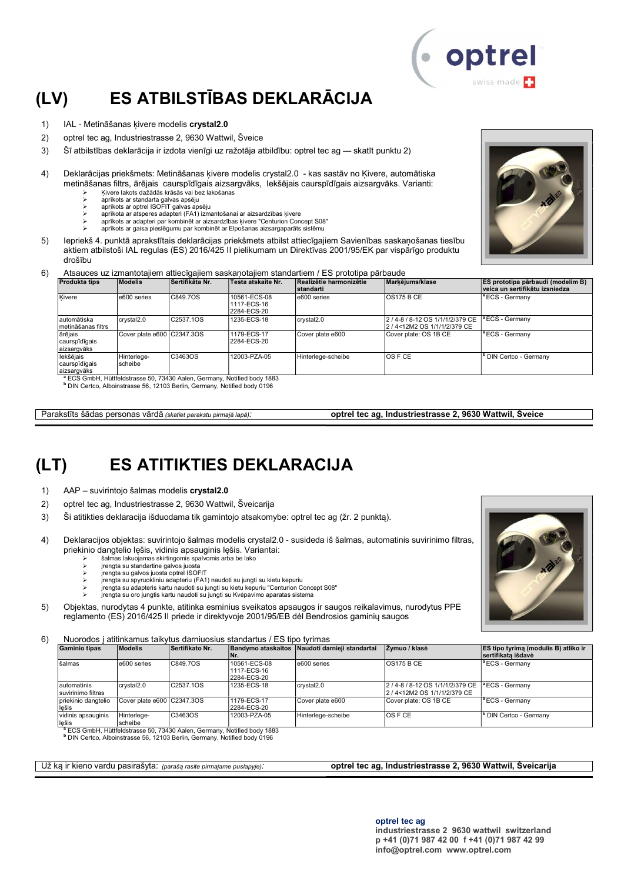# (LV) ES ATBILSTĪBAS DEKLARĀCIJA

- 1) IAL Metināšanas kivere modelis crystal2.0
- 2) optrel tec ag, Industriestrasse 2, 9630 Wattwil, Šveice
- 3) Šī atbilstības deklarācija ir izdota vienīgi uz ražotāja atbildību: optrel tec ag skatīt punktu 2)
- 4) Deklarācijas priekšmets: Metināšanas ķivere modelis crystal2.0 kas sastāv no Ķivere, automātiska metināšanas filtrs, ārējais caurspīdīgais aizsargvāks, Iekšējais caurspīdīgais aizsargvāks. Varianti:
	- Ķivere lakots dažādās krāsās vai bez lakošanas
	- aprīkots ar standarta galvas apsēju aprīkots ar optrel ISOFIT galvas apsēju
	- aprīkota ar atsperes adapteri (FA1) izmantošanai ar aizsardzības ķivere
	- aprīkots ar adapteri par kombinēt ar aizsardzības ķivere "Centurion Concept S08" aprīkots ar gaisa pieslēgumu par kombinēt ar Elpošanas aizsargaparāts sistēmu
- 5) Iepriekš 4. punktā aprakstītais deklarācijas priekšmets atbilst attiecīgajiem Savienības saskaņošanas tiesību aktiem atbilstoši IAL regulas (ES) 2016/425 II pielikumam un Direktīvas 2001/95/EK par vispārīgo produktu drošību
- 6) Atsauces uz izmantotajiem attiecīgajiem saskaņotajiem standartiem / ES prototipa pārbaude

| <b>Modelis</b>         |         | Testa atskaite Nr.                                                            | <b>Istandarti</b>      |                                                                  | <b>ES prototipa pārbaudi (modelim B)</b><br>veica un sertifikātu izsniedza |
|------------------------|---------|-------------------------------------------------------------------------------|------------------------|------------------------------------------------------------------|----------------------------------------------------------------------------|
| e600 series            |         | 10561-ECS-08<br>11117-ECS-16<br>2284-ECS-20                                   | e600 series            | <b>OS175 B CE</b>                                                | <sup>a</sup> ECS - Germany                                                 |
| crystal2.0             |         | 1235-ECS-18                                                                   | crystal <sub>2.0</sub> | 2 / 4-8 / 8-12 OS 1/1/1/2/379 CE  <br>2/4<12M2 OS 1/1/1/2/379 CE | <sup>a</sup> ECS - Germany                                                 |
|                        |         | 1179-ECS-17<br>2284-ECS-20                                                    | Cover plate e600       | Cover plate: OS 1B CE                                            | <sup>a</sup> ECS - Germanv                                                 |
| Hinterlege-<br>scheibe | C3463OS | 12003-PZA-05                                                                  | Hinterlege-scheibe     | OS F CE                                                          | <sup>b</sup> DIN Certco - Germany                                          |
|                        |         | <b>Sertifikāta Nr.</b><br>C849.7OS<br>C2537.1OS<br>Cover plate e600 C2347.3OS |                        |                                                                  | Markējums/klase<br>Realizētie harmonizētie                                 |

<sup>a</sup> ECS GmbH, Hüttfeldstrasse 50, 73430 Aalen, Germany, Notified body 1883<br><sup>b</sup> DIN Certco, Alboinstrasse 56, 12103 Berlin, Germany, Notified body 0196

Parakstīts šādas personas vārdā (skatiet parakstu pirmajā lapā): **optrel tec ag, Industriestrasse 2, 9630 Wattwil, Šveice** 

## (LT) ES ATITIKTIES DEKLARACIJA

- 1) AAP suvirintojo šalmas modelis crystal2.0
- 2) optrel tec ag, Industriestrasse 2, 9630 Wattwil, Šveicarija
- 3) Ši atitikties deklaracija išduodama tik gamintojo atsakomybe: optrel tec ag (žr. 2 punktą).
- 4) Deklaracijos objektas: suvirintojo šalmas modelis crystal2.0 susideda iš šalmas, automatinis suvirinimo filtras, priekinio dangtelio lęšis, vidinis apsauginis lęšis. Variantai:
	- šalmas lakuojamas skirtingomis spalvomis arba be lako įrengta su standartine galvos juosta
	- įrengta su galvos juosta optrel ISOFIT
	-
	- įrengta su spyruokliniu adapteriu (FA1) naudoti su jungti su kietu kepuriu įrengta su adapteris kartu naudoti su jungti su kietu kepuriu "Centurion Concept S08" įrengta su oro jungtis kartu naudoti su jungti su Kvėpavimo aparatas sistema
	-
- 5) Objektas, nurodytas 4 punkte, atitinka esminius sveikatos apsaugos ir saugos reikalavimus, nurodytus PPE reglamento (ES) 2016/425 II priede ir direktyvoje 2001/95/EB dėl Bendrosios gaminių saugos

6) Nuorodos į atitinkamus taikytus darniuosius standartus / ES tipo tyrimas

| <b>Gaminio tipas</b>               | <b>Modelis</b>             | Sertifikato Nr. | <b>Bandymo ataskaitos</b><br>۱Nr.          | Naudoti darnieji standartaj | Zvmuo / klasė                                                    | <b>ES tipo tyrima (modulis B) atliko ir</b><br><b>Sertifikata išdavė</b> |
|------------------------------------|----------------------------|-----------------|--------------------------------------------|-----------------------------|------------------------------------------------------------------|--------------------------------------------------------------------------|
| šalmas                             | e600 series                | C849.7OS        | 10561-ECS-08<br>1117-ECS-16<br>2284-ECS-20 | e600 series                 | IOS175 B CE                                                      | <sup>a</sup> ECS - Germany                                               |
| lautomatinis<br>suvirinimo filtras | crystal2.0                 | C2537.1OS       | 1235-ECS-18                                | crystal2.0                  | 2 / 4-8 / 8-12 OS 1/1/1/2/379 CE<br>2 / 4<12M2 OS 1/1/1/2/379 CE | <sup>a</sup> ECS - Germany                                               |
| priekinio dangtelio<br>lešis       | Cover plate e600 C2347.3OS |                 | 1179-ECS-17<br>2284-ECS-20                 | Cover plate e600            | Cover plate: OS 1B CE                                            | <sup>a</sup> ECS - Germany                                               |
| vidinis apsauginis<br>lešis        | Hinterlege-<br>scheibe     | C3463OS         | 12003-PZA-05                               | Hinterlege-scheibe          | <b>OS F CE</b>                                                   | <sup>'</sup> DIN Certco - Germany                                        |

<sup>a</sup> ECS GmbH, Hüttfeldstrasse 50, 73430 Aalen, Germany, Notified body 1883

b DIN Certco, Alboinstrasse 56, 12103 Berlin, Germany, Notified body 0196

Už ką ir kieno vardu pasirašyta: (parašą rasite pirmajame puslapyje): **optrel tec ag, Industriestrasse 2, 9630 Wattwil, Šveicarija** 





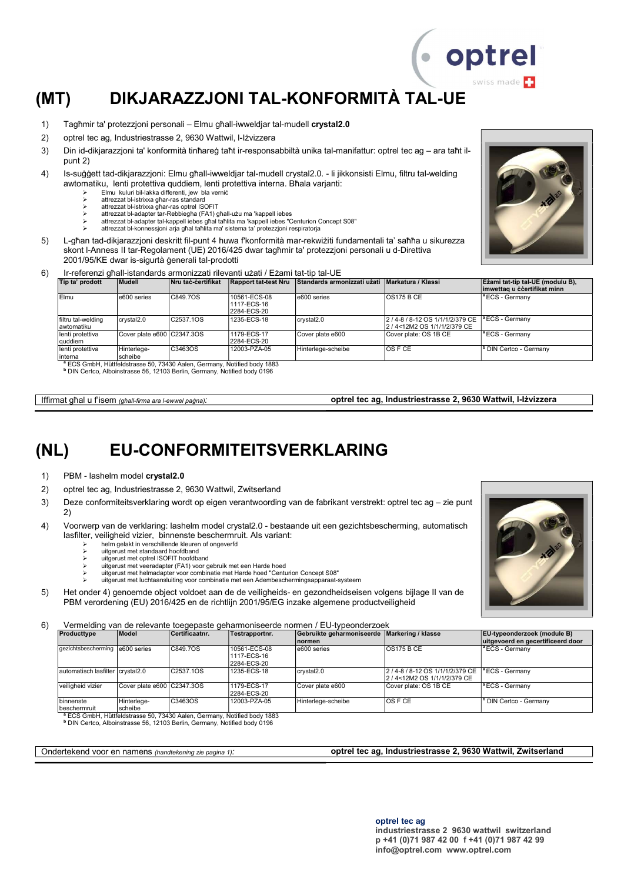# (MT) DIKJARAZZJONI TAL-KONFORMITÀ TAL-UE

- 1) Tagħmir ta' protezzjoni personali Elmu għall-iwweldjar tal-mudell crystal2.0
- 2) optrel tec ag, Industriestrasse 2, 9630 Wattwil, l-Iżvizzera
- 3) Din id-dikjarazzjoni ta' konformità tinħareġ taħt ir-responsabbiltà unika tal-manifattur: optrel tec ag ara taħt ilpunt 2)
- 4) Is-suġġett tad-dikjarazzjoni: Elmu għall-iwweldjar tal-mudell crystal2.0. li jikkonsisti Elmu, filtru tal-welding awtomatiku, lenti protettiva quddiem, lenti protettiva interna. Bħala varjanti:
	- Elmu kuluri bil-lakka differenti, jew bla verniċ
	- attrezzat bl-istrixxa għar-ras standard attrezzat bl-istrixxa għar-ras optrel ISOFIT
	- attrezzat bl-adapter tar-Rebbiegħa (FA1) għall-użu ma 'kappell iebes
	- attrezzat bl-adapter tal-kappell iebes għal taħlita ma 'kappell iebes "Centurion Concept S08"
	- attrezzat bl-konnessjoni arja għal taħlita ma' sistema ta' protezzjoni respiratorja
- 5) L-għan tad-dikjarazzjoni deskritt fil-punt 4 huwa f'konformità mar-rekwiżiti fundamentali ta' saħħa u sikurezza skont l-Anness II tar-Regolament (UE) 2016/425 dwar tagħmir ta' protezzjoni personali u d-Direttiva 2001/95/KE dwar is-sigurtà ġenerali tal-prodotti
- 6) Ir-referenzi għall-istandards armonizzati rilevanti użati / Eżami tat-tip tal-UE

| Tip ta' prodott                    | Mudell                     | <b>Nru tac-certifikat</b> | Rapport tat-test Nru                       | Standards armonizzati użati   Markatura / Klassi |                                                                    | Ezami tat-tip tal-UE (modulu B).<br>limwettag u ċċertifikat minn |
|------------------------------------|----------------------------|---------------------------|--------------------------------------------|--------------------------------------------------|--------------------------------------------------------------------|------------------------------------------------------------------|
| Elmu                               | e600 series                | C849.7OS                  | 10561-ECS-08<br>1117-ECS-16<br>2284-ECS-20 | e600 series                                      | IOS175 B CE                                                        | <sup>a</sup> ECS - Germany                                       |
| filtru tal-welding<br>lawtomatiku  | crystal2.0                 | C2537.1OS                 | 1235-ECS-18                                | crystal <sub>2.0</sub>                           | 2 / 4-8 / 8-12 OS 1/1/1/2/379 CE  <br>2 / 4<12M2 OS 1/1/1/2/379 CE | <sup>a</sup> ECS - Germanv                                       |
| lenti protettiva<br><b>auddiem</b> | Cover plate e600 C2347.3OS |                           | 1179-ECS-17<br>2284-ECS-20                 | Cover plate e600                                 | Cover plate: OS 1B CE                                              | <sup>a</sup> ECS - Germany                                       |
| lenti protettiva<br>linterna       | Hinterlege-<br>scheibe     | C3463OS                   | 12003-PZA-05                               | Hinterlege-scheibe                               | IOS F CE                                                           | <sup>b</sup> DIN Certco - Germany                                |

<sup>a</sup> ECS GmbH, Hüttfeldstrasse 50, 73430 Aalen, Germany, Notified body 1883<br><sup>b</sup> DIN Certco, Alboinstrasse 56, 12103 Berlin, Germany, Notified body 0196

Iffirmat għal u f'isem (għall-firma ara l-ewwel paġna): **optrel tec ag, Industriestrasse 2, 9630 Wattwil, l-Iżvizzera** 

### (NL) EU-CONFORMITEITSVERKLARING

- 1) PBM lashelm model crystal2.0
- 2) optrel tec ag, Industriestrasse 2, 9630 Wattwil, Zwitserland
- 3) Deze conformiteitsverklaring wordt op eigen verantwoording van de fabrikant verstrekt: optrel tec ag zie punt 2)
- 4) Voorwerp van de verklaring: lashelm model crystal2.0 bestaande uit een gezichtsbescherming, automatisch lasfilter, veiligheid vizier, binnenste beschermruit. Als variant:
	- helm gelakt in verschillende kleuren of ongeverfd uitgerust met standaard hoofdband
	- uitgerust met optrel ISOFIT hoofdband
	- uitgerust met veeradapter (FA1) voor gebruik met een Harde hoed
	- uitgerust met helmadapter voor combinatie met Harde hoed "Centurion Concept S08"
	- uitgerust met luchtaansluiting voor combinatie met een Adembeschermingsapparaat-systeem
- 5) Het onder 4) genoemde object voldoet aan de de veiligheids- en gezondheidseisen volgens bijlage II van de PBM verordening (EU) 2016/425 en de richtlijn 2001/95/EG inzake algemene productveiligheid

6) Vermelding van de relevante toegepaste geharmoniseerde normen / EU-typeonderzoek

| Producttype                       | <b>Model</b>               | Certificaatnr.                                                                                                                                                              | Testrapportnr.                             | Gebruikte geharmoniseerde   Markering / klasse<br><b>normen</b> |                                                                     | <b>EU-typeonderzoek (module B)</b><br>uitgevoerd en gecertificeerd door |
|-----------------------------------|----------------------------|-----------------------------------------------------------------------------------------------------------------------------------------------------------------------------|--------------------------------------------|-----------------------------------------------------------------|---------------------------------------------------------------------|-------------------------------------------------------------------------|
| gezichtsbescherming   e600 series |                            | C849.7OS                                                                                                                                                                    | 10561-ECS-08<br>1117-ECS-16<br>2284-ECS-20 | e600 series                                                     | IOS175 B CE                                                         | lª ECS - Germanv                                                        |
| automatisch lasfilter crystal2.0  |                            | C2537.1OS                                                                                                                                                                   | 1235-ECS-18                                | crystal2.0                                                      | 2 / 4-8 / 8-12 OS 1/1/1/2/379 CE  <br>l2 / 4<12M2 OS 1/1/1/2/379 CE | $\vert$ <sup>a</sup> ECS - Germany                                      |
| veiligheid vizier                 | Cover plate e600 C2347.3OS |                                                                                                                                                                             | 1179-ECS-17<br>2284-ECS-20                 | Cover plate e600                                                | Cover plate: OS 1B CE                                               | <sup>a</sup> ECS - Germanv                                              |
| binnenste<br>beschermruit         | Hinterlege-<br>scheibe     | IC3463OS                                                                                                                                                                    | 12003-PZA-05                               | Hinterlege-scheibe                                              | IOS F CE                                                            | <sup>b</sup> DIN Certco - Germany                                       |
|                                   |                            | <sup>a</sup> ECS GmbH, Hüttfeldstrasse 50, 73430 Aalen, Germany, Notified body 1883<br><sup>b</sup> DIN Certco, Alboinstrasse 56, 12103 Berlin, Germany, Notified body 0196 |                                            |                                                                 |                                                                     |                                                                         |

Ondertekend voor en namens (handtekening zie pagina 1): **optrel tec ag, Industriestrasse 2, 9630 Wattwil, Zwitserland** 



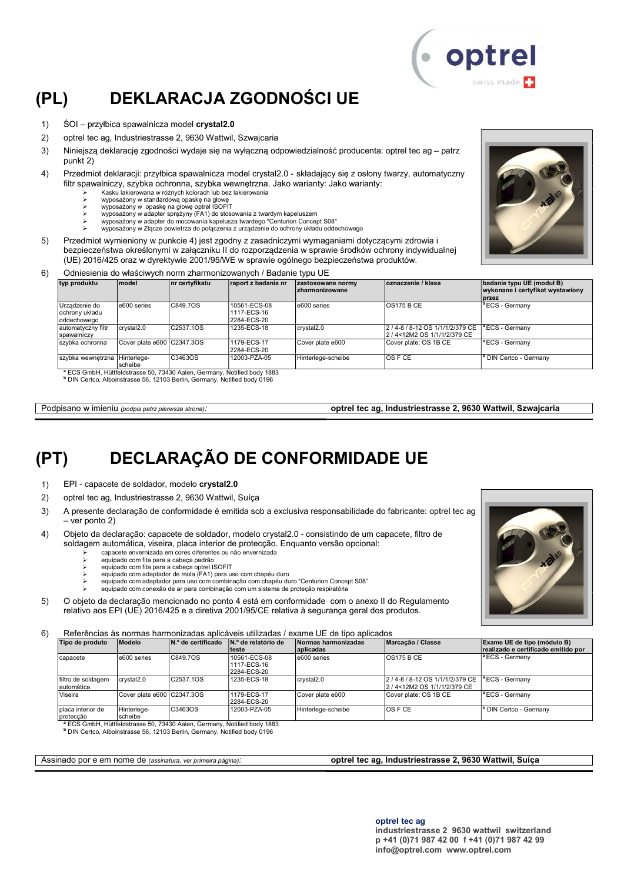# (PL) DEKLARACJA ZGODNOŚCI UE

- 1) ŚOI przyłbica spawalnicza model crystal2.0
- 2) optrel tec ag, Industriestrasse 2, 9630 Wattwil, Szwajcaria
- 3) Niniejszą deklarację zgodności wydaje się na wyłączną odpowiedzialność producenta: optrel tec ag patrz punkt 2)
- 4) Przedmiot deklaracji: przyłbica spawalnicza model crystal2.0 składający się z osłony twarzy, automatyczny filtr spawalniczy, szybka ochronna, szybka wewnętrzna. Jako warianty: Jako warianty:
	- Kasku lakierowana w różnych kolorach lub bez lakierowania
	-
	- wyposażony w standardową opaskę na głowę wyposażony w opaskę na głowę optrel ISOFIT wyposażony w adapter sprężyny (FA1) do stosowania z twardym kapeluszem
	-
	- wyposażony w adapter do mocowania kapelusza twardego "Centurion Concept S08" wyposażony w Złącze powietrza do połączenia z urządzenie do ochrony układu oddechowego
- 5) Przedmiot wymieniony w punkcie 4) jest zgodny z zasadniczymi wymaganiami dotyczącymi zdrowia i bezpieczeństwa określonymi w załączniku II do rozporządzenia w sprawie środków ochrony indywidualnej (UE) 2016/425 oraz w dyrektywie 2001/95/WE w sprawie ogólnego bezpieczeństwa produktów.
- 6) Odniesienia do właściwych norm zharmonizowanych / Badanie typu UE

| typ produktu                                   | <b>model</b>               | nr certyfikatu                                                                      | raport z badania nr                        | zastosowane normy<br><b>Izharmonizowane</b> | oznaczenie / klasa                                                | badanie typu UE (moduł B)<br>wykonane i certyfikat wystawiony<br><b>I</b> przez |
|------------------------------------------------|----------------------------|-------------------------------------------------------------------------------------|--------------------------------------------|---------------------------------------------|-------------------------------------------------------------------|---------------------------------------------------------------------------------|
| Urządzenie do<br>ochrony układu<br>oddechowego | e600 series                | C849.7OS                                                                            | 10561-ECS-08<br>1117-ECS-16<br>2284-ECS-20 | e600 series                                 | OS175BCE                                                          | <sup>a</sup> ECS - Germany                                                      |
| automatyczny filtr<br>spawalniczy              | crystal2.0                 | C2537.1OS                                                                           | 1235-ECS-18                                | crystal2.0                                  | 2 / 4-8 / 8-12 OS 1/1/1/2/379 CE<br>l2 / 4<12M2 OS 1/1/1/2/379 CE | <sup>a</sup> ECS - Germany                                                      |
| szybka ochronna                                | Cover plate e600 C2347.3OS |                                                                                     | 1179-ECS-17<br>2284-ECS-20                 | Cover plate e600                            | Cover plate: OS 1B CE                                             | <sup>a</sup> ECS - Germany                                                      |
| szybka wewnętrzna Hinterlege-                  | scheibe                    | C3463OS                                                                             | 12003-PZA-05                               | Hinterlege-scheibe                          | <b>OSFCE</b>                                                      | <sup>b</sup> DIN Certco - Germany                                               |
|                                                |                            | <sup>a</sup> ECS GmbH, Hüttfeldstrasse 50, 73430 Aalen, Germany, Notified body 1883 |                                            |                                             |                                                                   |                                                                                 |

b DIN Certco, Alboinstrasse 56, 12103 Berlin, Germany, Notified body 0196

Podpisano w imieniu (podpis patrz pierwsza strona): optrel tec ag, Industriestrasse 2, 9630 Wattwil, Szwajcaria

## (PT) DECLARAÇÃO DE CONFORMIDADE UE

- 1) EPI capacete de soldador, modelo crystal2.0
- 2) optrel tec ag, Industriestrasse 2, 9630 Wattwil, Suíça
- 3) A presente declaração de conformidade é emitida sob a exclusiva responsabilidade do fabricante: optrel tec ag – ver ponto 2)
- 4) Objeto da declaração: capacete de soldador, modelo crystal2.0 consistindo de um capacete, filtro de soldagem automática, viseira, placa interior de protecção. Enquanto versão opcional:
	- capacete envernizada em cores diferentes ou não envernizada
	- equipado com fita para a cabeça padrão equipado com fita para a cabeça optrel ISOFIT
	- equipado com adaptador de mola (FA1) para uso com chapéu duro
	- equipado com adaptador para uso com combinação com chapéu duro "Centurion Concept S08"
	- equipado com conexão de ar para combinação com um sistema de proteção respiratória
- 5) O objeto da declaração mencionado no ponto 4 está em conformidade com o anexo II do Regulamento relativo aos EPI (UE) 2016/425 e a diretiva 2001/95/CE relativa à segurança geral dos produtos.

6) Referências às normas harmonizadas aplicáveis utilizadas / exame UE de tipo aplicados

| Tipo de produto                   | Modelo                     | N.º de certificado                                                                  | N.º de relatório de<br>lteste              | Normas harmonizadas<br>aplicadas | Marcacão / Classe                                                 | Exame UE de tipo (módulo B)<br>realizado e certificado emitido por |
|-----------------------------------|----------------------------|-------------------------------------------------------------------------------------|--------------------------------------------|----------------------------------|-------------------------------------------------------------------|--------------------------------------------------------------------|
| Icapacete                         | e600 series                | C849.7OS                                                                            | 10561-ECS-08<br>1117-ECS-16<br>2284-ECS-20 | e600 series                      | <b>OS175 B CE</b>                                                 | <sup>a</sup> ECS - Germany                                         |
| filtro de soldagem<br>lautomática | crystal2.0                 | C2537.1OS                                                                           | 1235-ECS-18                                | crystal <sub>2.0</sub>           | 2 / 4-8 / 8-12 OS 1/1/1/2/379 CE<br>l2 / 4<12M2 OS 1/1/1/2/379 CE | ª ECS - Germanv                                                    |
| Viseira                           | Cover plate e600 C2347.3OS |                                                                                     | 1179-ECS-17<br>2284-ECS-20                 | Cover plate e600                 | Cover plate: OS 1B CE                                             | <sup>1</sup> ECS - Germany                                         |
| placa interior de<br>proteccão    | Hinterlege-<br>scheibe     | C3463OS                                                                             | 12003-PZA-05                               | Hinterlege-scheibe               | <b>OS F CE</b>                                                    | <sup>I</sup> DIN Certco - Germany                                  |
|                                   |                            | <sup>a</sup> ECS GmbH, Hüttfeldstrasse 50, 73430 Aalen, Germany, Notified body 1883 |                                            |                                  |                                                                   |                                                                    |

<sup>b</sup> DIN Certco, Alboinstrasse 56, 12103 Berlin, Germany, Notified body 0196

#### Assinado por e em nome de (assinatura, ver primeira página): optrel tec ag, Industriestrasse 2, 9630 Wattwil, Suíça

optrel tec ag industriestrasse 2 9630 wattwil switzerland p +41 (0)71 987 42 00 f +41 (0)71 987 42 99 info@optrel.com www.optrel.com





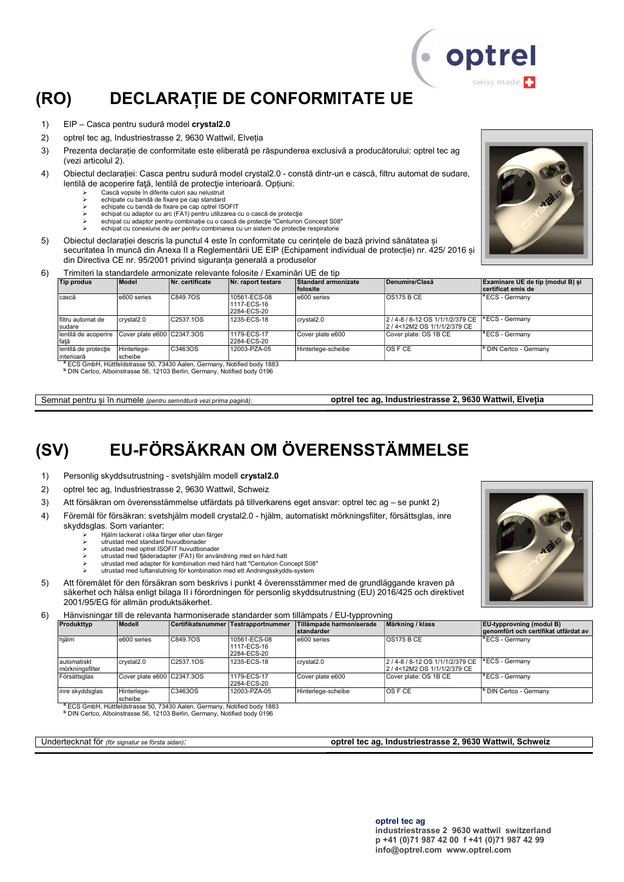## (RO) DECLARAȚIE DE CONFORMITATE UE

- 1) EIP Casca pentru sudură model crystal2.0
- 2) optrel tec ag, Industriestrasse 2, 9630 Wattwil, Elveția
- 3) Prezenta declarație de conformitate este eliberată pe răspunderea exclusivă a producătorului: optrel tec ag (vezi articolul 2).
- 4) Obiectul declarației: Casca pentru sudură model crystal2.0 constă dintr-un e cască, filtru automat de sudare, lentilă de acoperire faţă, lentilă de protecţie interioară. Opțiuni:
	- Cască vopsite în diferite culori sau nelustruit
	- echipate cu bandă de fixare pe cap standard echipate cu bandă de fixare pe cap optrel ISOFIT
	- echipat cu adaptor cu arc (FA1) pentru utilizarea cu o cască de protecţie
	- echipat cu adaptor pentru combinație cu o cască de protecție "Centurion Concept S08" echipat cu conexiune de aer pentru combinarea cu un sistem de protecție respiratorie
- 5) Obiectul declarației descris la punctul 4 este în conformitate cu cerințele de bază privind sănătatea și
	- securitatea în muncă din Anexa II a Reglementării UE EIP (Echipament individual de protecție) nr. 425/ 2016 și din Directiva CE nr. 95/2001 privind siguranța generală a produselor

#### 6) Trimiteri la standardele armonizate relevante folosite / Examinări UE de tip

| Tip produs                         | <b>Model</b>               | Nr. certificate | Nr. raport testare                         | Standard armonizate<br><b>folosite</b> | Denumire/Clasă                                                                              | Examinare UE de tip (modul B) si<br>certificat emis de |
|------------------------------------|----------------------------|-----------------|--------------------------------------------|----------------------------------------|---------------------------------------------------------------------------------------------|--------------------------------------------------------|
| cască                              | e600 series                | C849.7OS        | 10561-ECS-08<br>1117-ECS-16<br>2284-ECS-20 | e600 series                            | <b>OS175 B CE</b>                                                                           | <sup>a</sup> ECS - Germany                             |
| Ifiltru automat de<br>sudare       | crystal <sub>2.0</sub>     | C2537.1OS       | 1235-ECS-18                                | crvstal2.0                             | 2 / 4-8 / 8-12 OS 1/1/1/2/379 CE <sup>1</sup> ECS - Germany<br>2 / 4<12M2 OS 1/1/1/2/379 CE |                                                        |
| lentilă de acoperire<br>fată       | Cover plate e600 C2347.3OS |                 | 1179-ECS-17<br>2284-ECS-20                 | Cover plate e600                       | Cover plate: OS 1B CE                                                                       | <sup>la</sup> ECS - Germanv                            |
| lentilă de protecție<br>interioară | Hinterlege-<br>Ischeibe    | C3463OS         | 12003-PZA-05                               | Hinterlege-scheibe                     | <b>OS F CE</b>                                                                              | <sup>b</sup> DIN Certco - Germany                      |

ECS GmbH, Hüttfeldstrasse 50, 73430 Aalen, Germany, Notified body 1883

b DIN Certco, Alboinstrasse 56, 12103 Berlin, Germany, Notified body 0196

## (SV) EU-FÖRSÄKRAN OM ÖVERENSSTÄMMELSE

- 1) Personlig skyddsutrustning svetshjälm modell crystal2.0
- 2) optrel tec ag, Industriestrasse 2, 9630 Wattwil, Schweiz
- 3) Att försäkran om överensstämmelse utfärdats på tillverkarens eget ansvar: optrel tec ag se punkt 2)
- 4) Föremål för försäkran: svetshjälm modell crystal2.0 hjälm, automatiskt mörkningsfilter, försättsglas, inre skyddsglas. Som varianter:
	- Hjälm lackerat i olika färger eller utan färger
		- utrustad med standard huvudbonader
		- utrustad med optrel ISOFIT huvudbonader utrustad med fjäderadapter (FA1) för användning med en hård hatt
		- utrustad med adapter för kombination med hård hatt "Centurion Concept S08"
		- utrustad med luftanslutning för kombination med ett Andningsskydds-system
- 5) Att föremålet för den försäkran som beskrivs i punkt 4 överensstämmer med de grundläggande kraven på säkerhet och hälsa enligt bilaga II i förordningen för personlig skyddsutrustning (EU) 2016/425 och direktivet 2001/95/EG för allmän produktsäkerhet.
- 6) Hänvisningar till de relevanta harmoniserade standarder som tillämpats / EU-typprovning

| Produkttyp                      | Modell                         |           | Certifikatsnummer Testrapportnummer        | Tillämpade harmoniserade<br>Istandarder | Märkning / klass                                                     | <b>EU</b> -typprovning (modul B)<br>genomfört och certifikat utfärdat av |
|---------------------------------|--------------------------------|-----------|--------------------------------------------|-----------------------------------------|----------------------------------------------------------------------|--------------------------------------------------------------------------|
| hjälm                           | e600 series                    | C849.7OS  | 10561-ECS-08<br>1117-ECS-16<br>2284-ECS-20 | e600 series                             | $\overline{OS}$ 175 B CE                                             | <sup>a</sup> ECS - Germanv                                               |
| lautomatiskt<br>mörkningsfilter | crvstal2.0                     | C2537.1OS | 1235-ECS-18                                | crystal2.0                              | 2 / 4-8 / 8-12 OS 1/1/1/2/379 CE<br>2 / 4 < 12 M 2 OS 1/1/1/2/379 CE | <sup>a</sup> ECS - Germany                                               |
| Försättsglas                    | Cover plate $e600$ $C2347.3OS$ |           | 1179-ECS-17<br>2284-ECS-20                 | Cover plate e600                        | Cover plate: OS 1B CE                                                | <sup>1ª</sup> ECS - Germany                                              |
| inre skyddsglas                 | Hinterlege-<br>scheibe         | C3463OS   | 12003-PZA-05                               | Hinterlege-scheibe                      | <b>OSFCE</b>                                                         | <sup>b</sup> DIN Certco - Germany                                        |

scheibe <sup>a</sup> ECS GmbH, Hüttfeldstrasse 50, 73430 Aalen, Germany, Notified body 1883

b DIN Certco, Alboinstrasse 56, 12103 Berlin, Germany, Notified body 0196

Undertecknat för (för signatur se första sidan): **optrel tec ag, Industriestrasse 2, 9630 Wattwil, Schweiz** 

#### optrel tec ag industriestrasse 2 9630 wattwil switzerland p +41 (0)71 987 42 00 f +41 (0)71 987 42 99 info@optrel.com www.optrel.com





· optrel swiss made

Semnat pentru și în numele (pentru semnătură vezi prima pagină): optrel tec ag, Industriestrasse 2, 9630 Wattwil, Elveția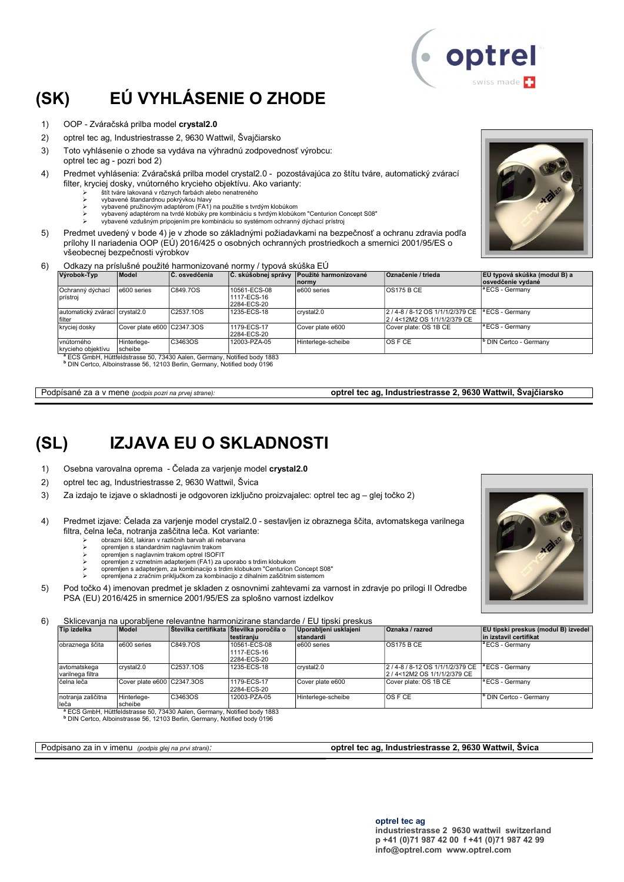# (SK) EÚ VYHLÁSENIE O ZHODE

- 1) OOP Zváračská prilba model crystal2.0
- 2) optrel tec ag, Industriestrasse 2, 9630 Wattwil, Švajčiarsko
- 3) Toto vyhlásenie o zhode sa vydáva na výhradnú zodpovednosť výrobcu: optrel tec ag - pozri bod 2)
- 4) Predmet vyhlásenia: Zváračská prilba model crystal2.0 pozostávajúca zo štítu tváre, automatický zvárací filter, kryciej dosky, vnútorného krycieho objektívu. Ako varianty:
	- štít tváre lakovaná v rôznych farbách alebo nenatreného
	- vybavené štandardnou pokrývkou hlavy vybavené pružinovým adaptérom (FA1) na použitie s tvrdým klobúkom
	- vybavený adaptérom na tvrdé klobúky pre kombináciu s tvrdým klobúkom "Centurion Concept S08"
	- vybavené vzdušným pripojením pre kombináciu so systémom ochranný dýchací prístroj
- 5) Predmet uvedený v bode 4) je v zhode so základnými požiadavkami na bezpečnosť a ochranu zdravia podľa prílohy II nariadenia OOP (EÚ) 2016/425 o osobných ochranných prostriedkoch a smernici 2001/95/ES o všeobecnej bezpečnosti výrobkov
- 6) Odkazy na príslušné použité harmonizované normy / typová skúška EÚ

| Výrobok-Typ                              | <b>Model</b>               | <b>C.</b> osvedčenia | C. skúšobnej správy                        | Použité harmonizované<br><b>Inormy</b> | <b>Označenie / trieda</b>                                        | EÚ typová skúška (modul B) a<br>osvedčenie vydané |
|------------------------------------------|----------------------------|----------------------|--------------------------------------------|----------------------------------------|------------------------------------------------------------------|---------------------------------------------------|
| Ochranný dýchací<br>prístroi             | e600 series                | C849.7OS             | 10561-ECS-08<br>1117-ECS-16<br>2284-ECS-20 | e600 series                            | OS175 B CE                                                       | <sup>a</sup> ECS - Germany                        |
| automatický zvárací crystal2.0<br>filter |                            | C2537.1OS            | 1235-ECS-18                                | crvstal2.0                             | 2 / 4-8 / 8-12 OS 1/1/1/2/379 CE<br>2 / 4<12M2 OS 1/1/1/2/379 CE | <sup>1ª</sup> ECS - Germany                       |
| kryciej dosky                            | Cover plate e600 C2347.3OS |                      | 1179-ECS-17<br>2284-ECS-20                 | Cover plate e600                       | Cover plate: OS 1B CE                                            | <sup>1ª</sup> ECS - Germany                       |
| vnútorného<br>krycieho obiektívu         | Hinterlege-<br>scheibe     | C3463OS              | 12003-PZA-05                               | Hinterlege-scheibe                     | IOS F CE                                                         | <sup>b</sup> DIN Certco - Germany                 |

krycieho objektívu scheibe <sup>a</sup> ECS GmbH, Hüttfeldstrasse 50, 73430 Aalen, Germany, Notified body 1883

b DIN Certco, Alboinstrasse 56, 12103 Berlin, Germany, Notified body 0196

#### Podpísané za a v mene (podpis pozri na prvej strane):<br> **optrel tec ag, Industriestrasse 2, 9630 Wattwil, Švajčiarsko**

## (SL) IZJAVA EU O SKLADNOSTI

- 1) Osebna varovalna oprema Čelada za varjenje model crystal2.0
- 2) optrel tec ag, Industriestrasse 2, 9630 Wattwil, Švica
- 3) Za izdajo te izjave o skladnosti je odgovoren izključno proizvajalec: optrel tec ag glej točko 2)
- 4) Predmet izjave: Čelada za varjenje model crystal2.0 sesta filtra, čelna leča, notranja zaščitna leča. Kot variante:
	- obrazni ščit, lakiran v različnih barvah ali nebarvana opremljen s standardnim naglavnim trakom
	-
	- opremljen s naglavnim trakom optrel ISOFIT opremljen z vzmetnim adapterjem (FA1) za uporabo s trdim klobukom
		- opremljen s adapterjem, za kombinacijo s trdim klobukom "Centu
		- opremljena z zračnim priključkom za kombinacijo z dihalnim zaščitnim sistemom
- 5) Pod točko 4) imenovan predmet je skladen z osnovnimi zahtevami za varnost in zdravje po prilogi II Odredbe PSA (EU) 2016/425 in smernice 2001/95/ES za splošno varnost izdelkov

6) Sklicevanja na uporabljene relevantne harmonizirane standarde / EU tipski preskus

| Tip izdelka                       | <b>Model</b>               |                                                                                     | ∣Stevilka certifikata ∣Stevilka poročila o<br>∣testiraniu | Uporablieni usklaieni<br>standardi | Oznaka / razred                                                | <b>EU tipski preskus (modul B) izvedel</b><br>in izstavil certifikat |
|-----------------------------------|----------------------------|-------------------------------------------------------------------------------------|-----------------------------------------------------------|------------------------------------|----------------------------------------------------------------|----------------------------------------------------------------------|
| obraznega ščita                   | e600 series                | C849.7OS                                                                            | 10561-ECS-08<br>1117-ECS-16<br>2284-ECS-20                | e600 series                        | <b>OS175 B CE</b>                                              | <sup>a</sup> ECS - Germany                                           |
| lavtomatskega<br>varilnega filtra | crvstal2.0                 | C2537.1OS                                                                           | 1235-ECS-18                                               | crystal2.0                         | 2 / 4-8 / 8-12 OS 1/1/1/2/379 CE<br>2/4<12M2 OS 1/1/1/2/379 CE | <sup>a</sup> ECS - Germany                                           |
| lčelna leča                       | Cover plate e600 C2347.3OS |                                                                                     | 1179-ECS-17<br>2284-ECS-20                                | Cover plate e600                   | Cover plate: OS 1B CE                                          | <sup>a</sup> ECS - Germany                                           |
| notranja zaščitna<br>leča         | Hinterlege-<br>Ischeibe    | C3463OS                                                                             | 12003-PZA-05                                              | Hinterlege-scheibe                 | IOS F CE                                                       | ' DIN Certco - Germany                                               |
|                                   |                            | <sup>a</sup> ECS GmbH, Hüttfeldstrasse 50, 73430 Aalen, Germany, Notified body 1883 |                                                           |                                    |                                                                |                                                                      |

b DIN Certco, Alboinstrasse 56, 12103 Berlin, Germany, Notified body 0196

Podpisano za in v imenu (podpis glej na prvi strani): optrel tec ag, Industriestrasse 2, 9630 Wattwil, Švica





| avljen iz obraznega ščita, avtomatskega varilnega |  |
|---------------------------------------------------|--|
|                                                   |  |
| ukom<br>urion Concept S08"                        |  |